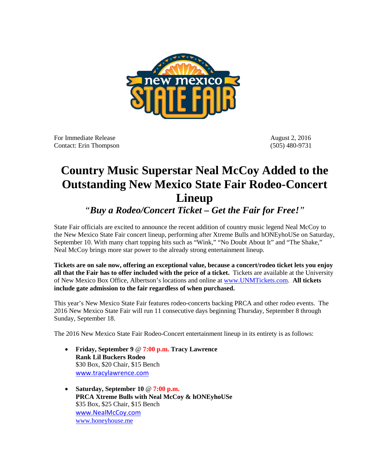

For Immediate Release August 2, 2016 Contact: Erin Thompson (505) 480-9731

## **Country Music Superstar Neal McCoy Added to the Outstanding New Mexico State Fair Rodeo-Concert Lineup**

*"Buy a Rodeo/Concert Ticket – Get the Fair for Free!"*

State Fair officials are excited to announce the recent addition of country music legend Neal McCoy to the New Mexico State Fair concert lineup, performing after Xtreme Bulls and hONEyhoUSe on Saturday, September 10. With many chart topping hits such as "Wink," "No Doubt About It" and "The Shake," Neal McCoy brings more star power to the already strong entertainment lineup*.*

**Tickets are on sale now, offering an exceptional value, because a concert/rodeo ticket lets you enjoy all that the Fair has to offer included with the price of a ticket.** Tickets are available at the University of New Mexico Box Office, Albertson's locations and online at [www.UNMTickets.com.](http://www.unmtickets.com/) **All tickets include gate admission to the fair regardless of when purchased.**

This year's New Mexico State Fair features rodeo-concerts backing PRCA and other rodeo events. The 2016 New Mexico State Fair will run 11 consecutive days beginning Thursday, September 8 through Sunday, September 18.

The 2016 New Mexico State Fair Rodeo-Concert entertainment lineup in its entirety is as follows:

- **Friday, September 9** @ **7:00 p.m. Tracy Lawrence Rank Lil Buckers Rodeo** \$30 Box, \$20 Chair, \$15 Bench [www.tracylawrence.com](http://www.tracylawrence.com/)
- **Saturday, September 10** @ **7:00 p.m. PRCA Xtreme Bulls with Neal McCoy & hONEyhoUSe** \$35 Box, \$25 Chair, \$15 Bench [www.NealMcCoy.com](http://www.nealmccoy.com/) [www.honeyhouse.me](http://www.honeyhouse.me/)